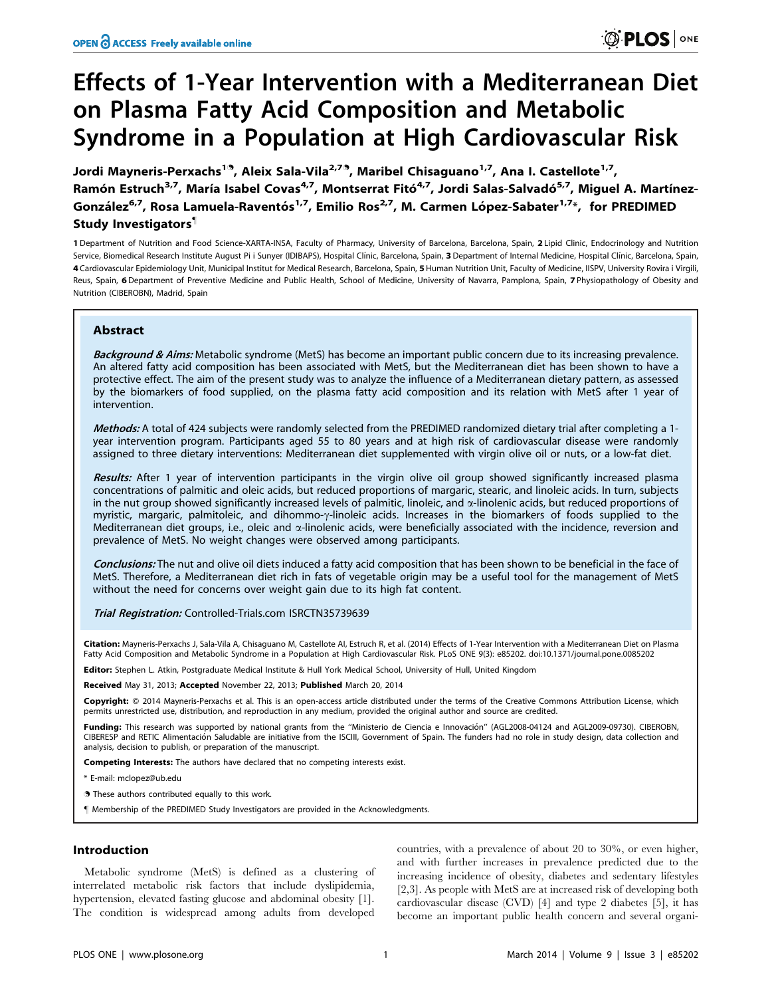# Effects of 1-Year Intervention with a Mediterranean Diet on Plasma Fatty Acid Composition and Metabolic Syndrome in a Population at High Cardiovascular Risk

Jordi Mayneris-Perxachs<sup>1.</sup>, Aleix Sala-Vila<sup>2,7.</sup>, Maribel Chisaguano<sup>1,7</sup>, Ana I. Castellote<sup>1,7</sup>, Ramón Estruch<sup>3,7</sup>, María Isabel Covas<sup>4,7</sup>, Montserrat Fitó<sup>4,7</sup>, Jordi Salas-Salvadó<sup>5,7</sup>, Miguel A. Martínez-González<sup>6,7</sup>, Rosa Lamuela-Raventós<sup>1,7</sup>, Emilio Ros<sup>2,7</sup>, M. Carmen López-Sabater<sup>1,7\*</sup>, for PREDIMED Study Investigators"

1 Department of Nutrition and Food Science-XARTA-INSA, Faculty of Pharmacy, University of Barcelona, Barcelona, Spain, 2 Lipid Clinic, Endocrinology and Nutrition Service, Biomedical Research Institute August Pi i Sunyer (IDIBAPS), Hospital Clínic, Barcelona, Spain, 3 Department of Internal Medicine, Hospital Clínic, Barcelona, Spain, 4 Cardiovascular Epidemiology Unit, Municipal Institut for Medical Research, Barcelona, Spain, 5 Human Nutrition Unit, Faculty of Medicine, IISPV, University Rovira i Virgili, Reus, Spain, 6 Department of Preventive Medicine and Public Health, School of Medicine, University of Navarra, Pamplona, Spain, 7 Physiopathology of Obesity and Nutrition (CIBEROBN), Madrid, Spain

# Abstract

Background & Aims: Metabolic syndrome (MetS) has become an important public concern due to its increasing prevalence. An altered fatty acid composition has been associated with MetS, but the Mediterranean diet has been shown to have a protective effect. The aim of the present study was to analyze the influence of a Mediterranean dietary pattern, as assessed by the biomarkers of food supplied, on the plasma fatty acid composition and its relation with MetS after 1 year of intervention.

Methods: A total of 424 subjects were randomly selected from the PREDIMED randomized dietary trial after completing a 1year intervention program. Participants aged 55 to 80 years and at high risk of cardiovascular disease were randomly assigned to three dietary interventions: Mediterranean diet supplemented with virgin olive oil or nuts, or a low-fat diet.

Results: After 1 year of intervention participants in the virgin olive oil group showed significantly increased plasma concentrations of palmitic and oleic acids, but reduced proportions of margaric, stearic, and linoleic acids. In turn, subjects in the nut group showed significantly increased levels of palmitic, linoleic, and  $\alpha$ -linolenic acids, but reduced proportions of myristic, margaric, palmitoleic, and dihommo-y-linoleic acids. Increases in the biomarkers of foods supplied to the Mediterranean diet groups, i.e., oleic and  $\alpha$ -linolenic acids, were beneficially associated with the incidence, reversion and prevalence of MetS. No weight changes were observed among participants.

Conclusions: The nut and olive oil diets induced a fatty acid composition that has been shown to be beneficial in the face of MetS. Therefore, a Mediterranean diet rich in fats of vegetable origin may be a useful tool for the management of MetS without the need for concerns over weight gain due to its high fat content.

Trial Registration: Controlled-Trials.com [ISRCTN35739639](http://www.controlled-trials.com/ISRCTN35739639)

Citation: Mayneris-Perxachs J, Sala-Vila A, Chisaguano M, Castellote AI, Estruch R, et al. (2014) Effects of 1-Year Intervention with a Mediterranean Diet on Plasma Fatty Acid Composition and Metabolic Syndrome in a Population at High Cardiovascular Risk. PLoS ONE 9(3): e85202. doi:10.1371/journal.pone.0085202

Editor: Stephen L. Atkin, Postgraduate Medical Institute & Hull York Medical School, University of Hull, United Kingdom

Received May 31, 2013; Accepted November 22, 2013; Published March 20, 2014

**Copyright:** © 2014 Mayneris-Perxachs et al. This is an open-access article distributed under the terms of the [Creative Commons Attribution License](http://creativecommons.org/licenses/by/4.0/), which permits unrestricted use, distribution, and reproduction in any medium, provided the original author and source are credited.

Funding: This research was supported by national grants from the "Ministerio de Ciencia e Innovación" (AGL2008-04124 and AGL2009-09730). CIBEROBN, CIBERESP and RETIC Alimentacio´n Saludable are initiative from the ISCIII, Government of Spain. The funders had no role in study design, data collection and analysis, decision to publish, or preparation of the manuscript.

Competing Interests: The authors have declared that no competing interests exist.

\* E-mail: mclopez@ub.edu

. These authors contributed equally to this work.

" Membership of the PREDIMED Study Investigators are provided in the Acknowledgments.

## Introduction

Metabolic syndrome (MetS) is defined as a clustering of interrelated metabolic risk factors that include dyslipidemia, hypertension, elevated fasting glucose and abdominal obesity [1]. The condition is widespread among adults from developed

countries, with a prevalence of about 20 to 30%, or even higher, and with further increases in prevalence predicted due to the increasing incidence of obesity, diabetes and sedentary lifestyles [2,3]. As people with MetS are at increased risk of developing both cardiovascular disease (CVD) [4] and type 2 diabetes [5], it has become an important public health concern and several organi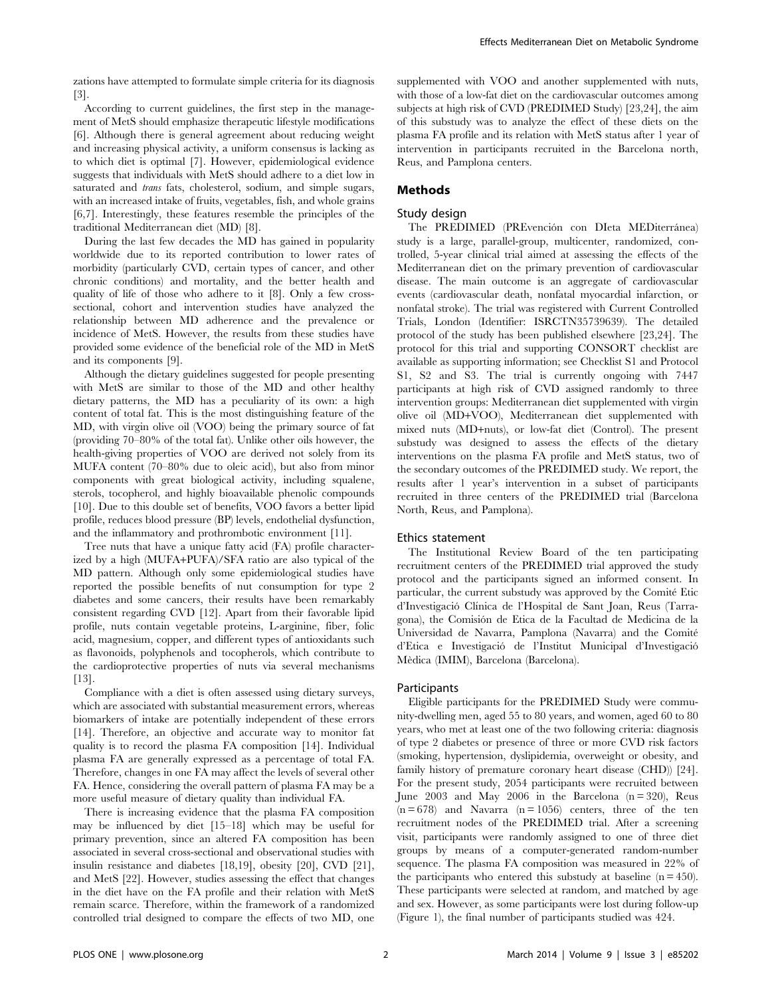zations have attempted to formulate simple criteria for its diagnosis [3].

According to current guidelines, the first step in the management of MetS should emphasize therapeutic lifestyle modifications [6]. Although there is general agreement about reducing weight and increasing physical activity, a uniform consensus is lacking as to which diet is optimal [7]. However, epidemiological evidence suggests that individuals with MetS should adhere to a diet low in saturated and *trans* fats, cholesterol, sodium, and simple sugars, with an increased intake of fruits, vegetables, fish, and whole grains [6,7]. Interestingly, these features resemble the principles of the traditional Mediterranean diet (MD) [8].

During the last few decades the MD has gained in popularity worldwide due to its reported contribution to lower rates of morbidity (particularly CVD, certain types of cancer, and other chronic conditions) and mortality, and the better health and quality of life of those who adhere to it [8]. Only a few crosssectional, cohort and intervention studies have analyzed the relationship between MD adherence and the prevalence or incidence of MetS. However, the results from these studies have provided some evidence of the beneficial role of the MD in MetS and its components [9].

Although the dietary guidelines suggested for people presenting with MetS are similar to those of the MD and other healthy dietary patterns, the MD has a peculiarity of its own: a high content of total fat. This is the most distinguishing feature of the MD, with virgin olive oil (VOO) being the primary source of fat (providing 70–80% of the total fat). Unlike other oils however, the health-giving properties of VOO are derived not solely from its MUFA content (70–80% due to oleic acid), but also from minor components with great biological activity, including squalene, sterols, tocopherol, and highly bioavailable phenolic compounds [10]. Due to this double set of benefits, VOO favors a better lipid profile, reduces blood pressure (BP) levels, endothelial dysfunction, and the inflammatory and prothrombotic environment [11].

Tree nuts that have a unique fatty acid (FA) profile characterized by a high (MUFA+PUFA)/SFA ratio are also typical of the MD pattern. Although only some epidemiological studies have reported the possible benefits of nut consumption for type 2 diabetes and some cancers, their results have been remarkably consistent regarding CVD [12]. Apart from their favorable lipid profile, nuts contain vegetable proteins, L-arginine, fiber, folic acid, magnesium, copper, and different types of antioxidants such as flavonoids, polyphenols and tocopherols, which contribute to the cardioprotective properties of nuts via several mechanisms [13].

Compliance with a diet is often assessed using dietary surveys, which are associated with substantial measurement errors, whereas biomarkers of intake are potentially independent of these errors [14]. Therefore, an objective and accurate way to monitor fat quality is to record the plasma FA composition [14]. Individual plasma FA are generally expressed as a percentage of total FA. Therefore, changes in one FA may affect the levels of several other FA. Hence, considering the overall pattern of plasma FA may be a more useful measure of dietary quality than individual FA.

There is increasing evidence that the plasma FA composition may be influenced by diet [15–18] which may be useful for primary prevention, since an altered FA composition has been associated in several cross-sectional and observational studies with insulin resistance and diabetes [18,19], obesity [20], CVD [21], and MetS [22]. However, studies assessing the effect that changes in the diet have on the FA profile and their relation with MetS remain scarce. Therefore, within the framework of a randomized controlled trial designed to compare the effects of two MD, one

supplemented with VOO and another supplemented with nuts, with those of a low-fat diet on the cardiovascular outcomes among subjects at high risk of CVD (PREDIMED Study) [23,24], the aim of this substudy was to analyze the effect of these diets on the plasma FA profile and its relation with MetS status after 1 year of intervention in participants recruited in the Barcelona north, Reus, and Pamplona centers.

## Methods

## Study design

The PREDIMED (PREvención con DIeta MEDiterránea) study is a large, parallel-group, multicenter, randomized, controlled, 5-year clinical trial aimed at assessing the effects of the Mediterranean diet on the primary prevention of cardiovascular disease. The main outcome is an aggregate of cardiovascular events (cardiovascular death, nonfatal myocardial infarction, or nonfatal stroke). The trial was registered with Current Controlled Trials, London (Identifier: ISRCTN35739639). The detailed protocol of the study has been published elsewhere [23,24]. The protocol for this trial and supporting CONSORT checklist are available as supporting information; see Checklist S1 and Protocol S1, S2 and S3. The trial is currently ongoing with 7447 participants at high risk of CVD assigned randomly to three intervention groups: Mediterranean diet supplemented with virgin olive oil (MD+VOO), Mediterranean diet supplemented with mixed nuts (MD+nuts), or low-fat diet (Control). The present substudy was designed to assess the effects of the dietary interventions on the plasma FA profile and MetS status, two of the secondary outcomes of the PREDIMED study. We report, the results after 1 year's intervention in a subset of participants recruited in three centers of the PREDIMED trial (Barcelona North, Reus, and Pamplona).

#### Ethics statement

The Institutional Review Board of the ten participating recruitment centers of the PREDIMED trial approved the study protocol and the participants signed an informed consent. In particular, the current substudy was approved by the Comité Etic d'Investigació Clínica de l'Hospital de Sant Joan, Reus (Tarragona), the Comisión de Etica de la Facultad de Medicina de la Universidad de Navarra, Pamplona (Navarra) and the Comite´ d'Etica e Investigacio´ de l'Institut Municipal d'Investigacio´ Mèdica (IMIM), Barcelona (Barcelona).

#### Participants

Eligible participants for the PREDIMED Study were community-dwelling men, aged 55 to 80 years, and women, aged 60 to 80 years, who met at least one of the two following criteria: diagnosis of type 2 diabetes or presence of three or more CVD risk factors (smoking, hypertension, dyslipidemia, overweight or obesity, and family history of premature coronary heart disease (CHD)) [24]. For the present study, 2054 participants were recruited between June 2003 and May 2006 in the Barcelona  $(n = 320)$ , Reus  $(n = 678)$  and Navarra  $(n = 1056)$  centers, three of the ten recruitment nodes of the PREDIMED trial. After a screening visit, participants were randomly assigned to one of three diet groups by means of a computer-generated random-number sequence. The plasma FA composition was measured in 22% of the participants who entered this substudy at baseline  $(n = 450)$ . These participants were selected at random, and matched by age and sex. However, as some participants were lost during follow-up (Figure 1), the final number of participants studied was 424.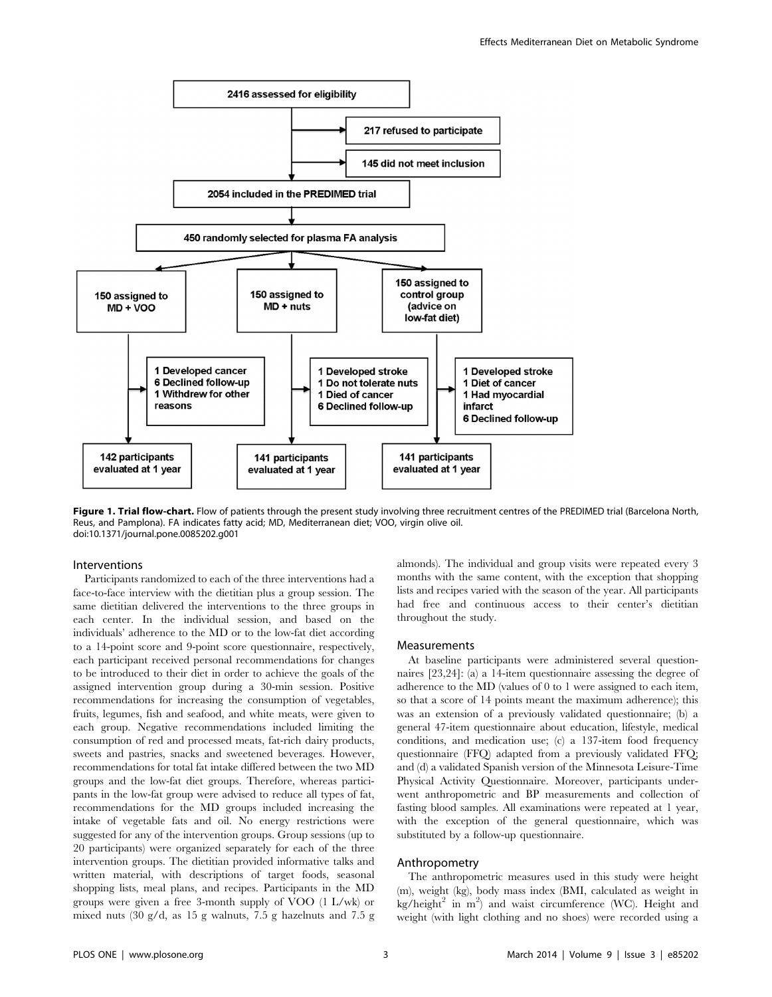

Figure 1. Trial flow-chart. Flow of patients through the present study involving three recruitment centres of the PREDIMED trial (Barcelona North, Reus, and Pamplona). FA indicates fatty acid; MD, Mediterranean diet; VOO, virgin olive oil. doi:10.1371/journal.pone.0085202.g001

## Interventions

Participants randomized to each of the three interventions had a face-to-face interview with the dietitian plus a group session. The same dietitian delivered the interventions to the three groups in each center. In the individual session, and based on the individuals' adherence to the MD or to the low-fat diet according to a 14-point score and 9-point score questionnaire, respectively, each participant received personal recommendations for changes to be introduced to their diet in order to achieve the goals of the assigned intervention group during a 30-min session. Positive recommendations for increasing the consumption of vegetables, fruits, legumes, fish and seafood, and white meats, were given to each group. Negative recommendations included limiting the consumption of red and processed meats, fat-rich dairy products, sweets and pastries, snacks and sweetened beverages. However, recommendations for total fat intake differed between the two MD groups and the low-fat diet groups. Therefore, whereas participants in the low-fat group were advised to reduce all types of fat, recommendations for the MD groups included increasing the intake of vegetable fats and oil. No energy restrictions were suggested for any of the intervention groups. Group sessions (up to 20 participants) were organized separately for each of the three intervention groups. The dietitian provided informative talks and written material, with descriptions of target foods, seasonal shopping lists, meal plans, and recipes. Participants in the MD groups were given a free 3-month supply of VOO (1 L/wk) or mixed nuts (30 g/d, as 15 g walnuts, 7.5 g hazelnuts and 7.5 g

months with the same content, with the exception that shopping lists and recipes varied with the season of the year. All participants had free and continuous access to their center's dietitian throughout the study.

almonds). The individual and group visits were repeated every 3

## Measurements

At baseline participants were administered several questionnaires [23,24]: (a) a 14-item questionnaire assessing the degree of adherence to the MD (values of 0 to 1 were assigned to each item, so that a score of 14 points meant the maximum adherence); this was an extension of a previously validated questionnaire; (b) a general 47-item questionnaire about education, lifestyle, medical conditions, and medication use; (c) a 137-item food frequency questionnaire (FFQ) adapted from a previously validated FFQ; and (d) a validated Spanish version of the Minnesota Leisure-Time Physical Activity Questionnaire. Moreover, participants underwent anthropometric and BP measurements and collection of fasting blood samples. All examinations were repeated at 1 year, with the exception of the general questionnaire, which was substituted by a follow-up questionnaire.

#### Anthropometry

The anthropometric measures used in this study were height (m), weight (kg), body mass index (BMI, calculated as weight in kg/height<sup>2</sup> in m<sup>2</sup>) and waist circumference (WC). Height and weight (with light clothing and no shoes) were recorded using a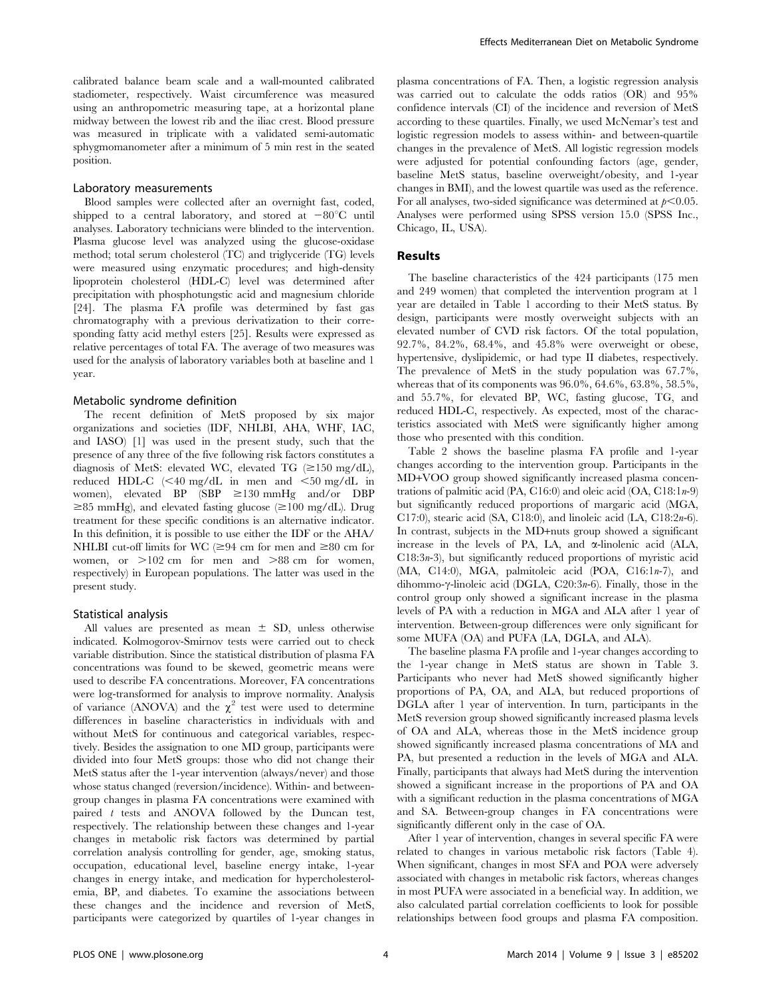calibrated balance beam scale and a wall-mounted calibrated stadiometer, respectively. Waist circumference was measured using an anthropometric measuring tape, at a horizontal plane midway between the lowest rib and the iliac crest. Blood pressure was measured in triplicate with a validated semi-automatic sphygmomanometer after a minimum of 5 min rest in the seated position.

#### Laboratory measurements

Blood samples were collected after an overnight fast, coded, shipped to a central laboratory, and stored at  $-80^{\circ}$ C until analyses. Laboratory technicians were blinded to the intervention. Plasma glucose level was analyzed using the glucose-oxidase method; total serum cholesterol (TC) and triglyceride (TG) levels were measured using enzymatic procedures; and high-density lipoprotein cholesterol (HDL-C) level was determined after precipitation with phosphotungstic acid and magnesium chloride [24]. The plasma FA profile was determined by fast gas chromatography with a previous derivatization to their corresponding fatty acid methyl esters [25]. Results were expressed as relative percentages of total FA. The average of two measures was used for the analysis of laboratory variables both at baseline and 1 year.

#### Metabolic syndrome definition

The recent definition of MetS proposed by six major organizations and societies (IDF, NHLBI, AHA, WHF, IAC, and IASO) [1] was used in the present study, such that the presence of any three of the five following risk factors constitutes a diagnosis of MetS: elevated WC, elevated TG  $(\geq 150 \text{ mg/dL})$ , reduced HDL-C  $\leq 40$  mg/dL in men and  $\leq 50$  mg/dL in women), elevated BP (SBP  $\geq$ 130 mmHg and/or DBP  $\geq$ 85 mmHg), and elevated fasting glucose ( $\geq$ 100 mg/dL). Drug treatment for these specific conditions is an alternative indicator. In this definition, it is possible to use either the IDF or the AHA/ NHLBI cut-off limits for WC ( $\geq$ 94 cm for men and  $\geq$ 80 cm for women, or  $>102$  cm for men and  $>88$  cm for women, respectively) in European populations. The latter was used in the present study.

#### Statistical analysis

All values are presented as mean  $\pm$  SD, unless otherwise indicated. Kolmogorov-Smirnov tests were carried out to check variable distribution. Since the statistical distribution of plasma FA concentrations was found to be skewed, geometric means were used to describe FA concentrations. Moreover, FA concentrations were log-transformed for analysis to improve normality. Analysis of variance (ANOVA) and the  $\chi^2$  test were used to determine differences in baseline characteristics in individuals with and without MetS for continuous and categorical variables, respectively. Besides the assignation to one MD group, participants were divided into four MetS groups: those who did not change their MetS status after the 1-year intervention (always/never) and those whose status changed (reversion/incidence). Within- and betweengroup changes in plasma FA concentrations were examined with paired t tests and ANOVA followed by the Duncan test, respectively. The relationship between these changes and 1-year changes in metabolic risk factors was determined by partial correlation analysis controlling for gender, age, smoking status, occupation, educational level, baseline energy intake, 1-year changes in energy intake, and medication for hypercholesterolemia, BP, and diabetes. To examine the associations between these changes and the incidence and reversion of MetS, participants were categorized by quartiles of 1-year changes in plasma concentrations of FA. Then, a logistic regression analysis was carried out to calculate the odds ratios (OR) and 95% confidence intervals (CI) of the incidence and reversion of MetS according to these quartiles. Finally, we used McNemar's test and logistic regression models to assess within- and between-quartile changes in the prevalence of MetS. All logistic regression models were adjusted for potential confounding factors (age, gender, baseline MetS status, baseline overweight/obesity, and 1-year changes in BMI), and the lowest quartile was used as the reference. For all analyses, two-sided significance was determined at  $p<0.05$ . Analyses were performed using SPSS version 15.0 (SPSS Inc., Chicago, IL, USA).

## Results

The baseline characteristics of the 424 participants (175 men and 249 women) that completed the intervention program at 1 year are detailed in Table 1 according to their MetS status. By design, participants were mostly overweight subjects with an elevated number of CVD risk factors. Of the total population, 92.7%, 84.2%, 68.4%, and 45.8% were overweight or obese, hypertensive, dyslipidemic, or had type II diabetes, respectively. The prevalence of MetS in the study population was 67.7%, whereas that of its components was 96.0%, 64.6%, 63.8%, 58.5%, and 55.7%, for elevated BP, WC, fasting glucose, TG, and reduced HDL-C, respectively. As expected, most of the characteristics associated with MetS were significantly higher among those who presented with this condition.

Table 2 shows the baseline plasma FA profile and 1-year changes according to the intervention group. Participants in the MD+VOO group showed significantly increased plasma concentrations of palmitic acid (PA, C16:0) and oleic acid (OA, C18:1 $n-9$ ) but significantly reduced proportions of margaric acid (MGA, C17:0), stearic acid (SA, C18:0), and linoleic acid (LA, C18:2n-6). In contrast, subjects in the MD+nuts group showed a significant increase in the levels of PA, LA, and  $\alpha$ -linolenic acid (ALA, C18:3n-3), but significantly reduced proportions of myristic acid (MA, C14:0), MGA, palmitoleic acid (POA, C16:1n-7), and dihommo- $\gamma$ -linoleic acid (DGLA, C20:3*n*-6). Finally, those in the control group only showed a significant increase in the plasma levels of PA with a reduction in MGA and ALA after 1 year of intervention. Between-group differences were only significant for some MUFA (OA) and PUFA (LA, DGLA, and ALA).

The baseline plasma FA profile and 1-year changes according to the 1-year change in MetS status are shown in Table 3. Participants who never had MetS showed significantly higher proportions of PA, OA, and ALA, but reduced proportions of DGLA after 1 year of intervention. In turn, participants in the MetS reversion group showed significantly increased plasma levels of OA and ALA, whereas those in the MetS incidence group showed significantly increased plasma concentrations of MA and PA, but presented a reduction in the levels of MGA and ALA. Finally, participants that always had MetS during the intervention showed a significant increase in the proportions of PA and OA with a significant reduction in the plasma concentrations of MGA and SA. Between-group changes in FA concentrations were significantly different only in the case of OA.

After 1 year of intervention, changes in several specific FA were related to changes in various metabolic risk factors (Table 4). When significant, changes in most SFA and POA were adversely associated with changes in metabolic risk factors, whereas changes in most PUFA were associated in a beneficial way. In addition, we also calculated partial correlation coefficients to look for possible relationships between food groups and plasma FA composition.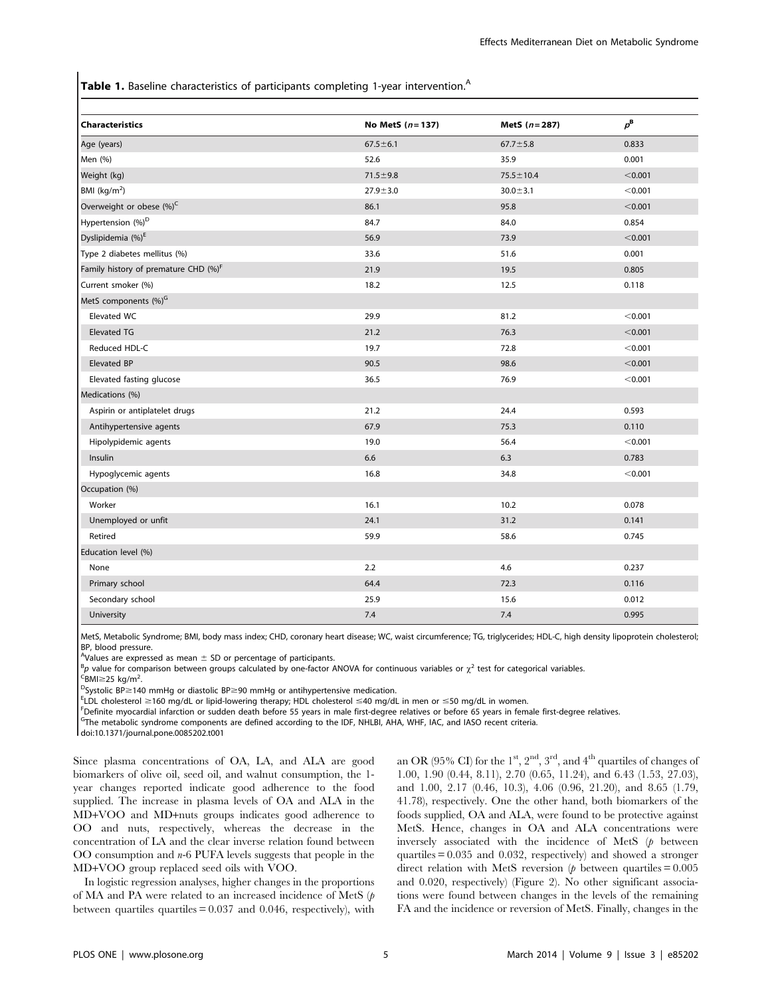**Table 1.** Baseline characteristics of participants completing 1-year intervention.<sup>A</sup>

| <b>Characteristics</b>                           | No MetS $(n = 137)$ | MetS $(n=287)$  | $p^{\rm B}$ |
|--------------------------------------------------|---------------------|-----------------|-------------|
| Age (years)                                      | $67.5 \pm 6.1$      | $67.7 \pm 5.8$  | 0.833       |
| Men (%)                                          | 52.6                | 35.9            | 0.001       |
| Weight (kg)                                      | $71.5 \pm 9.8$      | $75.5 \pm 10.4$ | < 0.001     |
| BMI $(kg/m2)$                                    | $27.9 + 3.0$        | $30.0 \pm 3.1$  | < 0.001     |
| Overweight or obese (%) <sup>C</sup>             | 86.1                | 95.8            | < 0.001     |
| Hypertension (%) <sup>D</sup>                    | 84.7                | 84.0            | 0.854       |
| Dyslipidemia (%) <sup>E</sup>                    | 56.9                | 73.9            | < 0.001     |
| Type 2 diabetes mellitus (%)                     | 33.6                | 51.6            | 0.001       |
| Family history of premature CHD (%) <sup>F</sup> | 21.9                | 19.5            | 0.805       |
| Current smoker (%)                               | 18.2                | 12.5            | 0.118       |
| MetS components (%) <sup>G</sup>                 |                     |                 |             |
| Elevated WC                                      | 29.9                | 81.2            | < 0.001     |
| <b>Elevated TG</b>                               | 21.2                | 76.3            | < 0.001     |
| Reduced HDL-C                                    | 19.7                | 72.8            | < 0.001     |
| Elevated BP                                      | 90.5                | 98.6            | < 0.001     |
| Elevated fasting glucose                         | 36.5                | 76.9            | < 0.001     |
| Medications (%)                                  |                     |                 |             |
| Aspirin or antiplatelet drugs                    | 21.2                | 24.4            | 0.593       |
| Antihypertensive agents                          | 67.9                | 75.3            | 0.110       |
| Hipolypidemic agents                             | 19.0                | 56.4            | < 0.001     |
| Insulin                                          | 6.6                 | 6.3             | 0.783       |
| Hypoglycemic agents                              | 16.8                | 34.8            | < 0.001     |
| Occupation (%)                                   |                     |                 |             |
| Worker                                           | 16.1                | 10.2            | 0.078       |
| Unemployed or unfit                              | 24.1                | 31.2            | 0.141       |
| Retired                                          | 59.9                | 58.6            | 0.745       |
| Education level (%)                              |                     |                 |             |
| None                                             | 2.2                 | 4.6             | 0.237       |
| Primary school                                   | 64.4                | 72.3            | 0.116       |
| Secondary school                                 | 25.9                | 15.6            | 0.012       |
| University                                       | 7.4                 | 7.4             | 0.995       |

MetS, Metabolic Syndrome; BMI, body mass index; CHD, coronary heart disease; WC, waist circumference; TG, triglycerides; HDL-C, high density lipoprotein cholesterol; BP, blood pressure.

A Values are expressed as mean  $\pm$  SD or percentage of participants.

 $^{\text{B}}$ p value for comparison between groups calculated by one-factor ANOVA for continuous variables or  $\chi^2$  test for categorical variables.

<sup>C</sup>BMI≥25 kg/m<sup>2</sup>.<br><sup>D</sup>Svstolic RP>14

 $\text{D}$ Systolic BP  $\geq$  140 mmHg or diastolic BP  $\geq$  90 mmHg or antihypertensive medication.

 $E$ LDL cholesterol  $\geq$ 160 mg/dL or lipid-lowering therapy; HDL cholesterol  $\leq$ 40 mg/dL in men or  $\leq$ 50 mg/dL in women.

<sup>F</sup>Definite myocardial infarction or sudden death before 55 years in male first-degree relatives or before 65 years in female first-degree relatives.

<sup>G</sup>The metabolic syndrome components are defined according to the IDF, NHLBI, AHA, WHF, IAC, and IASO recent criteria.

doi:10.1371/journal.pone.0085202.t001

Since plasma concentrations of OA, LA, and ALA are good biomarkers of olive oil, seed oil, and walnut consumption, the 1 year changes reported indicate good adherence to the food supplied. The increase in plasma levels of OA and ALA in the MD+VOO and MD+nuts groups indicates good adherence to OO and nuts, respectively, whereas the decrease in the concentration of LA and the clear inverse relation found between OO consumption and  $n-6$  PUFA levels suggests that people in the MD+VOO group replaced seed oils with VOO.

In logistic regression analyses, higher changes in the proportions of MA and PA were related to an increased incidence of MetS (p between quartiles quartiles = 0.037 and 0.046, respectively), with an OR (95% CI) for the  $1<sup>st</sup>$ ,  $2<sup>nd</sup>$ ,  $3<sup>rd</sup>$ , and  $4<sup>th</sup>$  quartiles of changes of 1.00, 1.90 (0.44, 8.11), 2.70 (0.65, 11.24), and 6.43 (1.53, 27.03), and 1.00, 2.17 (0.46, 10.3), 4.06 (0.96, 21.20), and 8.65 (1.79, 41.78), respectively. One the other hand, both biomarkers of the foods supplied, OA and ALA, were found to be protective against MetS. Hence, changes in OA and ALA concentrations were inversely associated with the incidence of MetS  $(p)$  between quartiles = 0.035 and 0.032, respectively) and showed a stronger direct relation with MetS reversion  $(p$  between quartiles = 0.005 and 0.020, respectively) (Figure 2). No other significant associations were found between changes in the levels of the remaining FA and the incidence or reversion of MetS. Finally, changes in the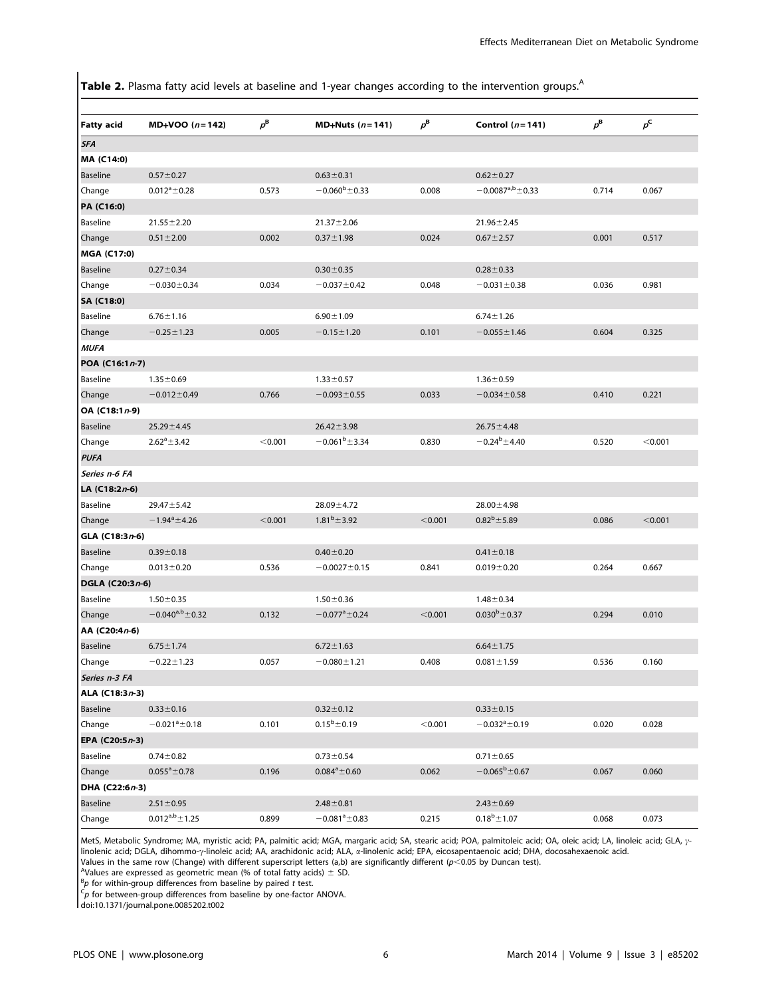Table 2. Plasma fatty acid levels at baseline and 1-year changes according to the intervention groups.<sup>A</sup>

| <b>Fatty acid</b>      | $MD+VOO(n=142)$         | $p^{\rm B}$ | MD+Nuts $(n=141)$   | $p^{\rm B}$ | Control $(n=141)$          | $p^{\rm B}$ | $p^{\mathsf{C}}$ |
|------------------------|-------------------------|-------------|---------------------|-------------|----------------------------|-------------|------------------|
| <b>SFA</b>             |                         |             |                     |             |                            |             |                  |
| MA (C14:0)             |                         |             |                     |             |                            |             |                  |
| <b>Baseline</b>        | $0.57 \pm 0.27$         |             | $0.63 \pm 0.31$     |             | $0.62 \pm 0.27$            |             |                  |
| Change                 | $0.012^a \pm 0.28$      | 0.573       | $-0.060^b \pm 0.33$ | 0.008       | $-0.0087^{\rm a,b}$ ± 0.33 | 0.714       | 0.067            |
| PA (C16:0)             |                         |             |                     |             |                            |             |                  |
| <b>Baseline</b>        | $21.55 \pm 2.20$        |             | $21.37 \pm 2.06$    |             | $21.96 \pm 2.45$           |             |                  |
| Change                 | $0.51 \pm 2.00$         | 0.002       | $0.37 \pm 1.98$     | 0.024       | $0.67 \pm 2.57$            | 0.001       | 0.517            |
| <b>MGA (C17:0)</b>     |                         |             |                     |             |                            |             |                  |
| Baseline               | $0.27 \pm 0.34$         |             | $0.30 \pm 0.35$     |             | $0.28 \pm 0.33$            |             |                  |
| Change                 | $-0.030 \pm 0.34$       | 0.034       | $-0.037 \pm 0.42$   | 0.048       | $-0.031 \pm 0.38$          | 0.036       | 0.981            |
| SA (C18:0)             |                         |             |                     |             |                            |             |                  |
| Baseline               | $6.76 \pm 1.16$         |             | $6.90 \pm 1.09$     |             | $6.74 \pm 1.26$            |             |                  |
| Change                 | $-0.25 \pm 1.23$        | 0.005       | $-0.15 \pm 1.20$    | 0.101       | $-0.055 \pm 1.46$          | 0.604       | 0.325            |
| <b>MUFA</b>            |                         |             |                     |             |                            |             |                  |
| POA (C16:1n-7)         |                         |             |                     |             |                            |             |                  |
| Baseline               | $1.35 \pm 0.69$         |             | $1.33 \pm 0.57$     |             | $1.36 \pm 0.59$            |             |                  |
| Change                 | $-0.012 \pm 0.49$       | 0.766       | $-0.093 \pm 0.55$   | 0.033       | $-0.034 \pm 0.58$          | 0.410       | 0.221            |
| OA (C18:1n-9)          |                         |             |                     |             |                            |             |                  |
| Baseline               | $25.29 \pm 4.45$        |             | $26.42 \pm 3.98$    |             | $26.75 \pm 4.48$           |             |                  |
| Change                 | $2.62^a \pm 3.42$       | < 0.001     | $-0.061^b \pm 3.34$ | 0.830       | $-0.24^b \pm 4.40$         | 0.520       | < 0.001          |
| <b>PUFA</b>            |                         |             |                     |             |                            |             |                  |
| Series n-6 FA          |                         |             |                     |             |                            |             |                  |
| LA (C18:2 <i>n</i> -6) |                         |             |                     |             |                            |             |                  |
| Baseline               | $29.47 \pm 5.42$        |             | $28.09 \pm 4.72$    |             | $28.00 \pm 4.98$           |             |                  |
| Change                 | $-1.94^{\circ}$ ± 4.26  | < 0.001     | $1.81^b \pm 3.92$   | < 0.001     | $0.82^b \pm 5.89$          | 0.086       | < 0.001          |
| GLA (C18:3n-6)         |                         |             |                     |             |                            |             |                  |
| Baseline               | $0.39 + 0.18$           |             | $0.40 \pm 0.20$     |             | $0.41 \pm 0.18$            |             |                  |
| Change                 | $0.013 \pm 0.20$        | 0.536       | $-0.0027 \pm 0.15$  | 0.841       | $0.019 + 0.20$             | 0.264       | 0.667            |
| DGLA (C20:3n-6)        |                         |             |                     |             |                            |             |                  |
| Baseline               | $1.50 \pm 0.35$         |             | $1.50 \pm 0.36$     |             | $1.48 \pm 0.34$            |             |                  |
| Change                 | $-0.040^{a,b} \pm 0.32$ | 0.132       | $-0.077^a \pm 0.24$ | < 0.001     | $0.030^b \pm 0.37$         | 0.294       | 0.010            |
| AA (C20:4n-6)          |                         |             |                     |             |                            |             |                  |
| <b>Baseline</b>        | $6.75 \pm 1.74$         |             | $6.72 \pm 1.63$     |             | $6.64 \pm 1.75$            |             |                  |
| Change                 | $-0.22 \pm 1.23$        | 0.057       | $-0.080 \pm 1.21$   | 0.408       | $0.081 \pm 1.59$           | 0.536       | 0.160            |
| Series n-3 FA          |                         |             |                     |             |                            |             |                  |
| ALA (C18:3n-3)         |                         |             |                     |             |                            |             |                  |
| <b>Baseline</b>        | $0.33 \pm 0.16$         |             | $0.32 \pm 0.12$     |             | $0.33 \pm 0.15$            |             |                  |
| Change                 | $-0.021^a \pm 0.18$     | 0.101       | $0.15^b \pm 0.19$   | < 0.001     | $-0.032^a \pm 0.19$        | 0.020       | 0.028            |
| EPA (C20:5n-3)         |                         |             |                     |             |                            |             |                  |
| Baseline               | $0.74 \pm 0.82$         |             | $0.73 \pm 0.54$     |             | $0.71 \pm 0.65$            |             |                  |
| Change                 | $0.055^a \pm 0.78$      | 0.196       | $0.084^a \pm 0.60$  | 0.062       | $-0.065^b \pm 0.67$        | 0.067       | 0.060            |
| DHA (C22:6n-3)         |                         |             |                     |             |                            |             |                  |
| <b>Baseline</b>        | $2.51 \pm 0.95$         |             | $2.48 \pm 0.81$     |             | $2.43 \pm 0.69$            |             |                  |
| Change                 | $0.012^{a,b}$ ± 1.25    | 0.899       | $-0.081^a \pm 0.83$ | 0.215       | $0.18^{b} \pm 1.07$        | 0.068       | 0.073            |

MetS, Metabolic Syndrome; MA, myristic acid; PA, palmitic acid; MGA, margaric acid; SA, stearic acid; POA, palmitoleic acid; OA, oleic acid; LA, linoleic acid; GLA,  $\gamma$ linolenic acid; DGLA, dihommo-γ-linoleic acid; AA, arachidonic acid; ALA, α-linolenic acid; EPA, eicosapentaenoic acid; DHA, docosahexaenoic acid.

Values in the same row (Change) with different superscript letters (a,b) are significantly different (p<0.05 by Duncan test).<br><sup>A</sup>Values are expressed as geometris mean (% of total fatty asids) + SD. <sup>A</sup>Values are expressed as geometric mean (% of total fatty acids)  $\pm$  SD.

 ${}^{B}_{P}$  for within-group differences from baseline by paired t test.

 $\epsilon_p$  for between-group differences from baseline by one-factor ANOVA.

doi:10.1371/journal.pone.0085202.t002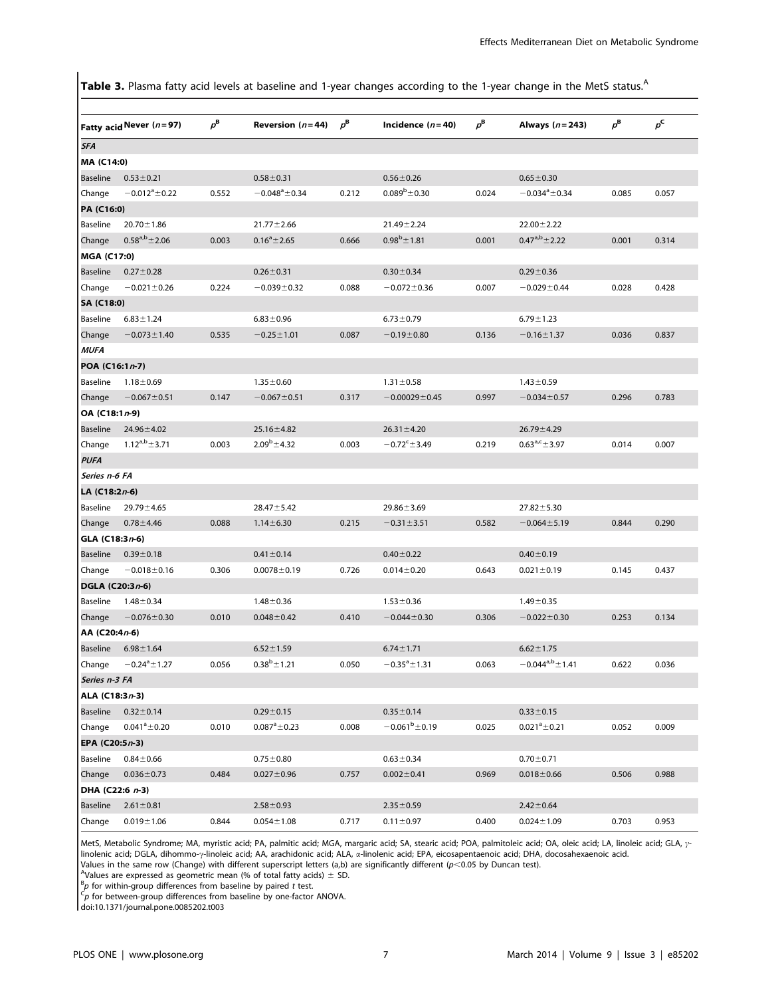Table 3. Plasma fatty acid levels at baseline and 1-year changes according to the 1-year change in the MetS status.<sup>A</sup>

|                    | Fatty acid Never (n=97) | $p^{\rm B}$ | Reversion $(n=44)$  | $p^{\mathbf{B}}$ | Incidence $(n=40)$         | $\rho^{\rm B}$ | Always (n = 243)        | $p^{\rm B}$ | $p^{\mathsf{C}}$ |
|--------------------|-------------------------|-------------|---------------------|------------------|----------------------------|----------------|-------------------------|-------------|------------------|
| SFA                |                         |             |                     |                  |                            |                |                         |             |                  |
| MA (C14:0)         |                         |             |                     |                  |                            |                |                         |             |                  |
| Baseline           | $0.53 \pm 0.21$         |             | $0.58 \pm 0.31$     |                  | $0.56 \pm 0.26$            |                | $0.65 \pm 0.30$         |             |                  |
| Change             | $-0.012^a \pm 0.22$     | 0.552       | $-0.048^a \pm 0.34$ | 0.212            | $0.089^b \pm 0.30$         | 0.024          | $-0.034^a \pm 0.34$     | 0.085       | 0.057            |
| PA (C16:0)         |                         |             |                     |                  |                            |                |                         |             |                  |
| Baseline           | $20.70 \pm 1.86$        |             | $21.77 \pm 2.66$    |                  | $21.49 \pm 2.24$           |                | $22.00 \pm 2.22$        |             |                  |
| Change             | $0.58^{a,b}$ ± 2.06     | 0.003       | $0.16^a \pm 2.65$   | 0.666            | $0.98^b \pm 1.81$          | 0.001          | $0.47^{a,b}$ ± 2.22     | 0.001       | 0.314            |
| <b>MGA (C17:0)</b> |                         |             |                     |                  |                            |                |                         |             |                  |
| Baseline           | $0.27 \pm 0.28$         |             | $0.26 \pm 0.31$     |                  | $0.30 \pm 0.34$            |                | $0.29 + 0.36$           |             |                  |
| Change             | $-0.021 \pm 0.26$       | 0.224       | $-0.039 \pm 0.32$   | 0.088            | $-0.072 \pm 0.36$          | 0.007          | $-0.029 + 0.44$         | 0.028       | 0.428            |
| SA (C18:0)         |                         |             |                     |                  |                            |                |                         |             |                  |
| Baseline           | $6.83 \pm 1.24$         |             | $6.83 \pm 0.96$     |                  | $6.73 \pm 0.79$            |                | $6.79 \pm 1.23$         |             |                  |
| Change             | $-0.073 \pm 1.40$       | 0.535       | $-0.25 \pm 1.01$    | 0.087            | $-0.19 + 0.80$             | 0.136          | $-0.16 \pm 1.37$        | 0.036       | 0.837            |
| <b>MUFA</b>        |                         |             |                     |                  |                            |                |                         |             |                  |
| POA (C16:1n-7)     |                         |             |                     |                  |                            |                |                         |             |                  |
| Baseline           | $1.18 + 0.69$           |             | $1.35 \pm 0.60$     |                  | $1.31 \pm 0.58$            |                | $1.43 \pm 0.59$         |             |                  |
| Change             | $-0.067 \pm 0.51$       | 0.147       | $-0.067 \pm 0.51$   | 0.317            | $-0.00029 \pm 0.45$        | 0.997          | $-0.034 \pm 0.57$       | 0.296       | 0.783            |
| OA (C18:1n-9)      |                         |             |                     |                  |                            |                |                         |             |                  |
| Baseline           | $24.96 \pm 4.02$        |             | 25.16±4.82          |                  | $26.31 \pm 4.20$           |                | $26.79 \pm 4.29$        |             |                  |
| Change             | $1.12^{a,b}$ ± 3.71     | 0.003       | $2.09^b \pm 4.32$   | 0.003            | $-0.72^{\circ}$ $\pm$ 3.49 | 0.219          | $0.63^{a,c}$ $\pm$ 3.97 | 0.014       | 0.007            |
| <b>PUFA</b>        |                         |             |                     |                  |                            |                |                         |             |                  |
| Series n-6 FA      |                         |             |                     |                  |                            |                |                         |             |                  |
| LA (C18:2n-6)      |                         |             |                     |                  |                            |                |                         |             |                  |
| Baseline           | $29.79 \pm 4.65$        |             | $28.47 \pm 5.42$    |                  | $29.86 \pm 3.69$           |                | $27.82 \pm 5.30$        |             |                  |
| Change             | $0.78 + 4.46$           | 0.088       | $1.14 \pm 6.30$     | 0.215            | $-0.31 \pm 3.51$           | 0.582          | $-0.064 \pm 5.19$       | 0.844       | 0.290            |
| GLA (C18:3n-6)     |                         |             |                     |                  |                            |                |                         |             |                  |
| Baseline           | $0.39 \pm 0.18$         |             | $0.41 \pm 0.14$     |                  | $0.40 \pm 0.22$            |                | $0.40 \pm 0.19$         |             |                  |
| Change             | $-0.018 \pm 0.16$       | 0.306       | $0.0078 \pm 0.19$   | 0.726            | $0.014 \pm 0.20$           | 0.643          | $0.021 \pm 0.19$        | 0.145       | 0.437            |
| DGLA (C20:3n-6)    |                         |             |                     |                  |                            |                |                         |             |                  |
| Baseline           | $1.48 \pm 0.34$         |             | $1.48 + 0.36$       |                  | $1.53 \pm 0.36$            |                | $1.49 \pm 0.35$         |             |                  |
| Change             | $-0.076 \pm 0.30$       | 0.010       | $0.048 \pm 0.42$    | 0.410            | $-0.044 \pm 0.30$          | 0.306          | $-0.022 \pm 0.30$       | 0.253       | 0.134            |
| AA (C20:4n-6)      |                         |             |                     |                  |                            |                |                         |             |                  |
| Baseline           | $6.98 \pm 1.64$         |             | $6.52 \pm 1.59$     |                  | $6.74 \pm 1.71$            |                | $6.62 \pm 1.75$         |             |                  |
| Change             | $-0.24^{\circ}$ ± 1.27  | 0.056       | $0.38^b \pm 1.21$   | 0.050            | $-0.35^{\circ}$ ± 1.31     | 0.063          | $-0.044^{a,b}$ ± 1.41   | 0.622       | 0.036            |
| Series n-3 FA      |                         |             |                     |                  |                            |                |                         |             |                  |
| ALA (C18:3n-3)     |                         |             |                     |                  |                            |                |                         |             |                  |
| Baseline           | $0.32 \pm 0.14$         |             | $0.29 \pm 0.15$     |                  | $0.35 \pm 0.14$            |                | $0.33 \pm 0.15$         |             |                  |
| Change             | $0.041^a \pm 0.20$      | 0.010       | $0.087^a \pm 0.23$  | 0.008            | $-0.061^b \pm 0.19$        | 0.025          | $0.021^a \pm 0.21$      | 0.052       | 0.009            |
| EPA (C20:5n-3)     |                         |             |                     |                  |                            |                |                         |             |                  |
| Baseline           | $0.84 + 0.66$           |             | $0.75 \pm 0.80$     |                  | $0.63 \pm 0.34$            |                | $0.70 \pm 0.71$         |             |                  |
| Change             | $0.036 \pm 0.73$        | 0.484       | $0.027 \pm 0.96$    | 0.757            | $0.002 \pm 0.41$           | 0.969          | $0.018 + 0.66$          | 0.506       | 0.988            |
| DHA (C22:6 n-3)    |                         |             |                     |                  |                            |                |                         |             |                  |
| <b>Baseline</b>    | $2.61 \pm 0.81$         |             | $2.58 \pm 0.93$     |                  | $2.35 \pm 0.59$            |                | $2.42 \pm 0.64$         |             |                  |
| Change             | $0.019 + 1.06$          | 0.844       | $0.054 \pm 1.08$    | 0.717            | $0.11 \pm 0.97$            | 0.400          | $0.024 \pm 1.09$        | 0.703       | 0.953            |

MetS, Metabolic Syndrome; MA, myristic acid; PA, palmitic acid; MGA, margaric acid; SA, stearic acid; POA, palmitoleic acid; OA, oleic acid; LA, linoleic acid; GLA,  $\gamma$ linolenic acid; DGLA, dihommo-y-linoleic acid; AA, arachidonic acid; ALA, a-linolenic acid; EPA, eicosapentaenoic acid; DHA, docosahexaenoic acid. Values in the same row (Change) with different superscript letters (a,b) are significantly different ( $p$ <0.05 by Duncan test).

<sup>A</sup>Values are expressed as geometric mean (% of total fatty acids)  $\pm$  SD.

 ${}^{\text{B}}p$  for within-group differences from baseline by paired t test.

 ${}^C p$  for between-group differences from baseline by one-factor ANOVA.

doi:10.1371/journal.pone.0085202.t003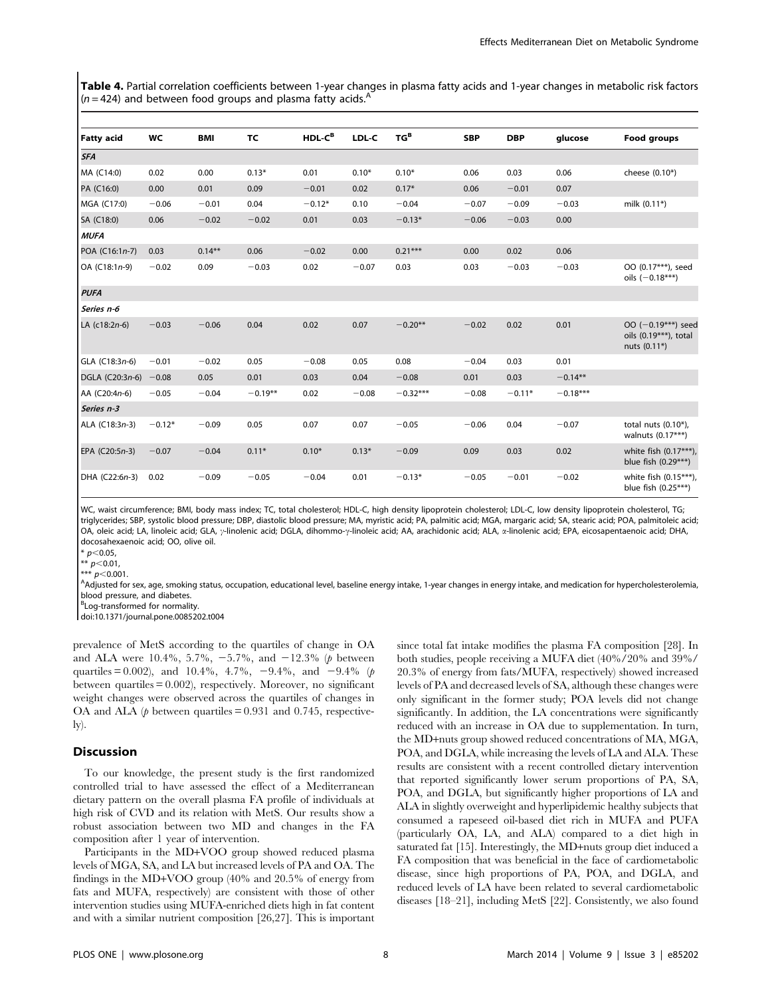Table 4. Partial correlation coefficients between 1-year changes in plasma fatty acids and 1-year changes in metabolic risk factors  $(n=424)$  and between food groups and plasma fatty acids.<sup>A</sup>

| <b>Fatty acid</b> | WC       | BMI       | TC        | HDL-C <sup>B</sup> | LDL-C   | $TG^B$     | <b>SBP</b> | <b>DBP</b> | glucose    | Food groups                                                         |
|-------------------|----------|-----------|-----------|--------------------|---------|------------|------------|------------|------------|---------------------------------------------------------------------|
| <b>SFA</b>        |          |           |           |                    |         |            |            |            |            |                                                                     |
| MA (C14:0)        | 0.02     | 0.00      | $0.13*$   | 0.01               | $0.10*$ | $0.10*$    | 0.06       | 0.03       | 0.06       | cheese (0.10*)                                                      |
| PA (C16:0)        | 0.00     | 0.01      | 0.09      | $-0.01$            | 0.02    | $0.17*$    | 0.06       | $-0.01$    | 0.07       |                                                                     |
| MGA (C17:0)       | $-0.06$  | $-0.01$   | 0.04      | $-0.12*$           | 0.10    | $-0.04$    | $-0.07$    | $-0.09$    | $-0.03$    | milk (0.11*)                                                        |
| SA (C18:0)        | 0.06     | $-0.02$   | $-0.02$   | 0.01               | 0.03    | $-0.13*$   | $-0.06$    | $-0.03$    | 0.00       |                                                                     |
| <b>MUFA</b>       |          |           |           |                    |         |            |            |            |            |                                                                     |
| POA (C16:1n-7)    | 0.03     | $0.14***$ | 0.06      | $-0.02$            | 0.00    | $0.21***$  | 0.00       | 0.02       | 0.06       |                                                                     |
| OA (C18:1n-9)     | $-0.02$  | 0.09      | $-0.03$   | 0.02               | $-0.07$ | 0.03       | 0.03       | $-0.03$    | $-0.03$    | OO (0.17***), seed<br>oils $(-0.18***)$                             |
| <b>PUFA</b>       |          |           |           |                    |         |            |            |            |            |                                                                     |
| Series n-6        |          |           |           |                    |         |            |            |            |            |                                                                     |
| LA (c18:2n-6)     | $-0.03$  | $-0.06$   | 0.04      | 0.02               | 0.07    | $-0.20**$  | $-0.02$    | 0.02       | 0.01       | OO $(-0.19***)$ seed<br>oils $(0.19***)$ , total<br>nuts $(0.11^*)$ |
| GLA (C18:3n-6)    | $-0.01$  | $-0.02$   | 0.05      | $-0.08$            | 0.05    | 0.08       | $-0.04$    | 0.03       | 0.01       |                                                                     |
| DGLA (C20:3n-6)   | $-0.08$  | 0.05      | 0.01      | 0.03               | 0.04    | $-0.08$    | 0.01       | 0.03       | $-0.14**$  |                                                                     |
| AA (C20:4n-6)     | $-0.05$  | $-0.04$   | $-0.19**$ | 0.02               | $-0.08$ | $-0.32***$ | $-0.08$    | $-0.11*$   | $-0.18***$ |                                                                     |
| Series n-3        |          |           |           |                    |         |            |            |            |            |                                                                     |
| ALA (C18:3n-3)    | $-0.12*$ | $-0.09$   | 0.05      | 0.07               | 0.07    | $-0.05$    | $-0.06$    | 0.04       | $-0.07$    | total nuts $(0.10^*)$ ,<br>walnuts $(0.17***)$                      |
| EPA (C20:5n-3)    | $-0.07$  | $-0.04$   | $0.11*$   | $0.10*$            | $0.13*$ | $-0.09$    | 0.09       | 0.03       | 0.02       | white fish (0.17***),<br>blue fish $(0.29***)$                      |
| DHA (C22:6n-3)    | 0.02     | $-0.09$   | $-0.05$   | $-0.04$            | 0.01    | $-0.13*$   | $-0.05$    | $-0.01$    | $-0.02$    | white fish (0.15***),<br>blue fish (0.25***)                        |

WC, waist circumference; BMI, body mass index; TC, total cholesterol; HDL-C, high density lipoprotein cholesterol; LDL-C, low density lipoprotein cholesterol, TG; triglycerides; SBP, systolic blood pressure; DBP, diastolic blood pressure; MA, myristic acid; PA, palmitic acid; MGA, margaric acid; SA, stearic acid; POA, palmitoleic acid; OA, oleic acid; LA, linoleic acid; GLA, y-linolenic acid; DGLA, dihommo-y-linoleic acid; AA, arachidonic acid; ALA, a-linolenic acid; EPA, eicosapentaenoic acid; DHA, docosahexaenoic acid; OO, olive oil.

 $*$  p<0.05.

 $*\left[p<0.01\right]$ 

\*\*\*  $p$  < 0.001.

Addjusted for sex, age, smoking status, occupation, educational level, baseline energy intake, 1-year changes in energy intake, and medication for hypercholesterolemia, blood pressure, and diabetes.

<sup>B</sup>Log-transformed for normality.

doi:10.1371/journal.pone.0085202.t004

prevalence of MetS according to the quartiles of change in OA and ALA were 10.4%, 5.7%,  $-5.7%$ , and  $-12.3%$  (p between quartiles = 0.002), and 10.4%, 4.7%, -9.4%, and -9.4% (p between quartiles  $= 0.002$ , respectively. Moreover, no significant weight changes were observed across the quartiles of changes in OA and ALA ( $\phi$  between quartiles = 0.931 and 0.745, respectively).

## Discussion

To our knowledge, the present study is the first randomized controlled trial to have assessed the effect of a Mediterranean dietary pattern on the overall plasma FA profile of individuals at high risk of CVD and its relation with MetS. Our results show a robust association between two MD and changes in the FA composition after 1 year of intervention.

Participants in the MD+VOO group showed reduced plasma levels of MGA, SA, and LA but increased levels of PA and OA. The findings in the MD+VOO group (40% and 20.5% of energy from fats and MUFA, respectively) are consistent with those of other intervention studies using MUFA-enriched diets high in fat content and with a similar nutrient composition [26,27]. This is important since total fat intake modifies the plasma FA composition [28]. In both studies, people receiving a MUFA diet (40%/20% and 39%/ 20.3% of energy from fats/MUFA, respectively) showed increased levels of PA and decreased levels of SA, although these changes were only significant in the former study; POA levels did not change significantly. In addition, the LA concentrations were significantly reduced with an increase in OA due to supplementation. In turn, the MD+nuts group showed reduced concentrations of MA, MGA, POA, and DGLA, while increasing the levels of LA and ALA. These results are consistent with a recent controlled dietary intervention that reported significantly lower serum proportions of PA, SA, POA, and DGLA, but significantly higher proportions of LA and ALA in slightly overweight and hyperlipidemic healthy subjects that consumed a rapeseed oil-based diet rich in MUFA and PUFA (particularly OA, LA, and ALA) compared to a diet high in saturated fat [15]. Interestingly, the MD+nuts group diet induced a FA composition that was beneficial in the face of cardiometabolic disease, since high proportions of PA, POA, and DGLA, and reduced levels of LA have been related to several cardiometabolic diseases [18–21], including MetS [22]. Consistently, we also found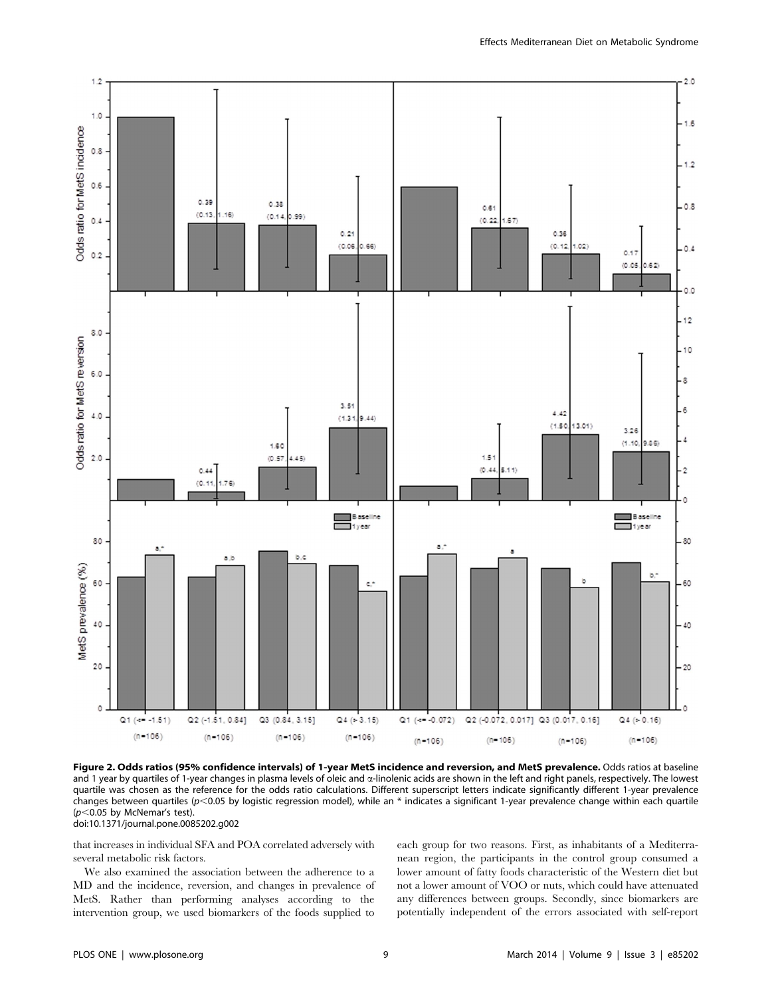

Figure 2. Odds ratios (95% confidence intervals) of 1-year MetS incidence and reversion, and MetS prevalence. Odds ratios at baseline and 1 year by quartiles of 1-year changes in plasma levels of oleic and  $\alpha$ -linolenic acids are shown in the left and right panels, respectively. The lowest quartile was chosen as the reference for the odds ratio calculations. Different superscript letters indicate significantly different 1-year prevalence changes between quartiles ( $p<0.05$  by logistic regression model), while an \* indicates a significant 1-year prevalence change within each quartile ( $p$ <0.05 by McNemar's test). doi:10.1371/journal.pone.0085202.g002

that increases in individual SFA and POA correlated adversely with several metabolic risk factors.

We also examined the association between the adherence to a MD and the incidence, reversion, and changes in prevalence of MetS. Rather than performing analyses according to the intervention group, we used biomarkers of the foods supplied to each group for two reasons. First, as inhabitants of a Mediterranean region, the participants in the control group consumed a lower amount of fatty foods characteristic of the Western diet but not a lower amount of VOO or nuts, which could have attenuated any differences between groups. Secondly, since biomarkers are potentially independent of the errors associated with self-report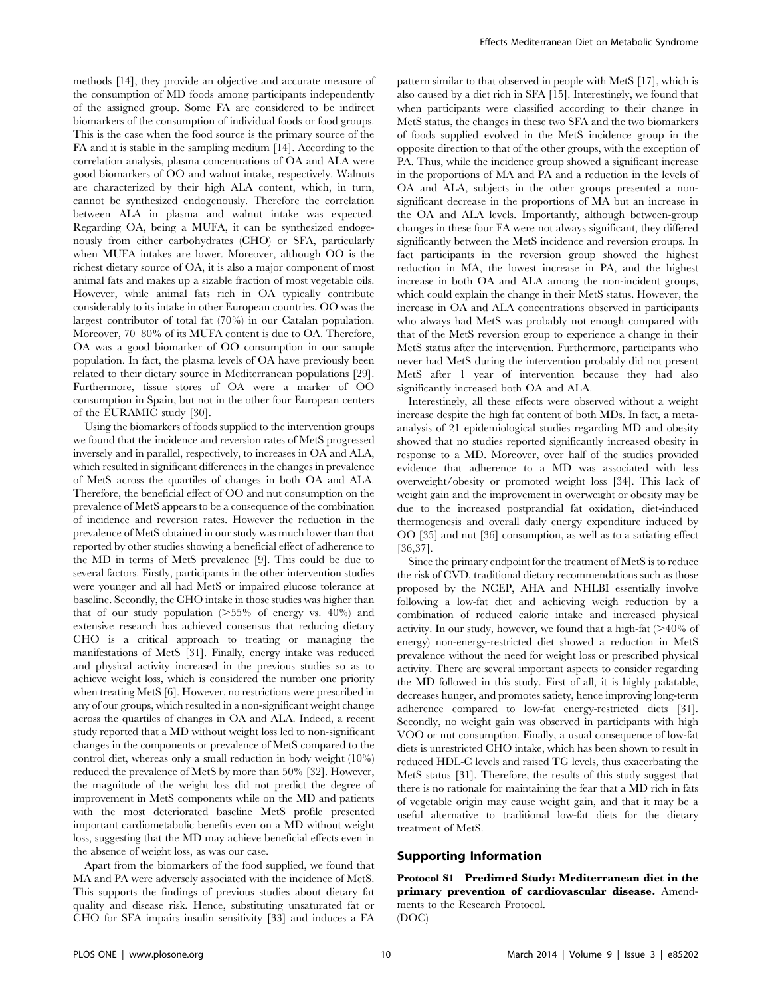methods [14], they provide an objective and accurate measure of the consumption of MD foods among participants independently of the assigned group. Some FA are considered to be indirect biomarkers of the consumption of individual foods or food groups. This is the case when the food source is the primary source of the FA and it is stable in the sampling medium [14]. According to the correlation analysis, plasma concentrations of OA and ALA were good biomarkers of OO and walnut intake, respectively. Walnuts are characterized by their high ALA content, which, in turn, cannot be synthesized endogenously. Therefore the correlation between ALA in plasma and walnut intake was expected. Regarding OA, being a MUFA, it can be synthesized endogenously from either carbohydrates (CHO) or SFA, particularly when MUFA intakes are lower. Moreover, although OO is the richest dietary source of OA, it is also a major component of most animal fats and makes up a sizable fraction of most vegetable oils. However, while animal fats rich in OA typically contribute considerably to its intake in other European countries, OO was the largest contributor of total fat (70%) in our Catalan population. Moreover, 70–80% of its MUFA content is due to OA. Therefore, OA was a good biomarker of OO consumption in our sample population. In fact, the plasma levels of OA have previously been related to their dietary source in Mediterranean populations [29]. Furthermore, tissue stores of OA were a marker of OO consumption in Spain, but not in the other four European centers of the EURAMIC study [30].

Using the biomarkers of foods supplied to the intervention groups we found that the incidence and reversion rates of MetS progressed inversely and in parallel, respectively, to increases in OA and ALA, which resulted in significant differences in the changes in prevalence of MetS across the quartiles of changes in both OA and ALA. Therefore, the beneficial effect of OO and nut consumption on the prevalence of MetS appears to be a consequence of the combination of incidence and reversion rates. However the reduction in the prevalence of MetS obtained in our study was much lower than that reported by other studies showing a beneficial effect of adherence to the MD in terms of MetS prevalence [9]. This could be due to several factors. Firstly, participants in the other intervention studies were younger and all had MetS or impaired glucose tolerance at baseline. Secondly, the CHO intake in those studies was higher than that of our study population  $(>=55\%$  of energy vs. 40%) and extensive research has achieved consensus that reducing dietary CHO is a critical approach to treating or managing the manifestations of MetS [31]. Finally, energy intake was reduced and physical activity increased in the previous studies so as to achieve weight loss, which is considered the number one priority when treating MetS [6]. However, no restrictions were prescribed in any of our groups, which resulted in a non-significant weight change across the quartiles of changes in OA and ALA. Indeed, a recent study reported that a MD without weight loss led to non-significant changes in the components or prevalence of MetS compared to the control diet, whereas only a small reduction in body weight (10%) reduced the prevalence of MetS by more than 50% [32]. However, the magnitude of the weight loss did not predict the degree of improvement in MetS components while on the MD and patients with the most deteriorated baseline MetS profile presented important cardiometabolic benefits even on a MD without weight loss, suggesting that the MD may achieve beneficial effects even in the absence of weight loss, as was our case.

Apart from the biomarkers of the food supplied, we found that MA and PA were adversely associated with the incidence of MetS. This supports the findings of previous studies about dietary fat quality and disease risk. Hence, substituting unsaturated fat or CHO for SFA impairs insulin sensitivity [33] and induces a FA

pattern similar to that observed in people with MetS [17], which is also caused by a diet rich in SFA [15]. Interestingly, we found that when participants were classified according to their change in MetS status, the changes in these two SFA and the two biomarkers of foods supplied evolved in the MetS incidence group in the opposite direction to that of the other groups, with the exception of PA. Thus, while the incidence group showed a significant increase in the proportions of MA and PA and a reduction in the levels of OA and ALA, subjects in the other groups presented a nonsignificant decrease in the proportions of MA but an increase in the OA and ALA levels. Importantly, although between-group changes in these four FA were not always significant, they differed significantly between the MetS incidence and reversion groups. In fact participants in the reversion group showed the highest reduction in MA, the lowest increase in PA, and the highest increase in both OA and ALA among the non-incident groups, which could explain the change in their MetS status. However, the increase in OA and ALA concentrations observed in participants who always had MetS was probably not enough compared with that of the MetS reversion group to experience a change in their MetS status after the intervention. Furthermore, participants who never had MetS during the intervention probably did not present MetS after 1 year of intervention because they had also significantly increased both OA and ALA.

Interestingly, all these effects were observed without a weight increase despite the high fat content of both MDs. In fact, a metaanalysis of 21 epidemiological studies regarding MD and obesity showed that no studies reported significantly increased obesity in response to a MD. Moreover, over half of the studies provided evidence that adherence to a MD was associated with less overweight/obesity or promoted weight loss [34]. This lack of weight gain and the improvement in overweight or obesity may be due to the increased postprandial fat oxidation, diet-induced thermogenesis and overall daily energy expenditure induced by OO [35] and nut [36] consumption, as well as to a satiating effect [36,37].

Since the primary endpoint for the treatment of MetS is to reduce the risk of CVD, traditional dietary recommendations such as those proposed by the NCEP, AHA and NHLBI essentially involve following a low-fat diet and achieving weigh reduction by a combination of reduced caloric intake and increased physical activity. In our study, however, we found that a high-fat  $(>40\%$  of energy) non-energy-restricted diet showed a reduction in MetS prevalence without the need for weight loss or prescribed physical activity. There are several important aspects to consider regarding the MD followed in this study. First of all, it is highly palatable, decreases hunger, and promotes satiety, hence improving long-term adherence compared to low-fat energy-restricted diets [31]. Secondly, no weight gain was observed in participants with high VOO or nut consumption. Finally, a usual consequence of low-fat diets is unrestricted CHO intake, which has been shown to result in reduced HDL-C levels and raised TG levels, thus exacerbating the MetS status [31]. Therefore, the results of this study suggest that there is no rationale for maintaining the fear that a MD rich in fats of vegetable origin may cause weight gain, and that it may be a useful alternative to traditional low-fat diets for the dietary treatment of MetS.

### Supporting Information

Protocol S1 Predimed Study: Mediterranean diet in the primary prevention of cardiovascular disease. Amendments to the Research Protocol.

(DOC)